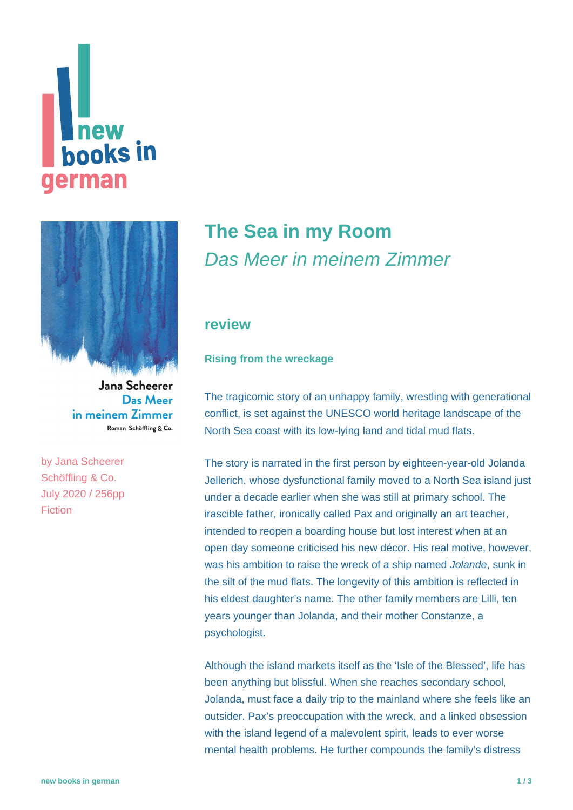# **Thew<br>books in** german



Jana Scheerer Das Meer in meinem Zimmer Roman Schöffling & Co.

by [Jana Scheerer](https://www.new-books-in-german.com/recommendations/?searchInput=Jana%20Scheerer%20) Schöffling & Co. July 2020 / 256pp Fiction

## **[The Sea in my Room](https://www.new-books-in-german.com/recommendations/the-sea-in-my-room/)** Das Meer in meinem Zimmer

#### **review**

#### **Rising from the wreckage**

The tragicomic story of an unhappy family, wrestling with generational conflict, is set against the UNESCO world heritage landscape of the North Sea coast with its low-lying land and tidal mud flats.

The story is narrated in the first person by eighteen-year-old Jolanda Jellerich, whose dysfunctional family moved to a North Sea island just under a decade earlier when she was still at primary school. The irascible father, ironically called Pax and originally an art teacher, intended to reopen a boarding house but lost interest when at an open day someone criticised his new décor. His real motive, however, was his ambition to raise the wreck of a ship named *Jolande*, sunk in the silt of the mud flats. The longevity of this ambition is reflected in his eldest daughter's name. The other family members are Lilli, ten years younger than Jolanda, and their mother Constanze, a psychologist.

Although the island markets itself as the 'Isle of the Blessed', life has been anything but blissful. When she reaches secondary school, Jolanda, must face a daily trip to the mainland where she feels like an outsider. Pax's preoccupation with the wreck, and a linked obsession with the island legend of a malevolent spirit, leads to ever worse mental health problems. He further compounds the family's distress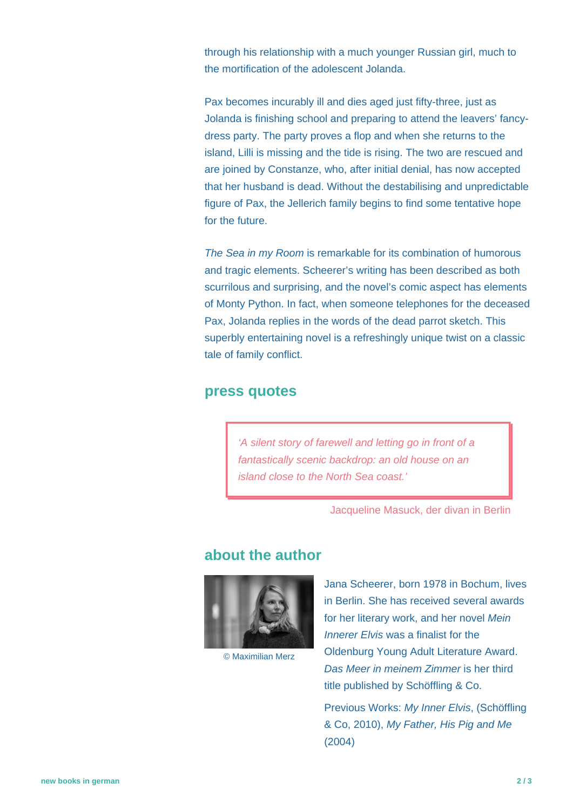through his relationship with a much younger Russian girl, much to the mortification of the adolescent Jolanda.

Pax becomes incurably ill and dies aged just fifty-three, just as Jolanda is finishing school and preparing to attend the leavers' fancydress party. The party proves a flop and when she returns to the island, Lilli is missing and the tide is rising. The two are rescued and are joined by Constanze, who, after initial denial, has now accepted that her husband is dead. Without the destabilising and unpredictable figure of Pax, the Jellerich family begins to find some tentative hope for the future.

The Sea in my Room is remarkable for its combination of humorous and tragic elements. Scheerer's writing has been described as both scurrilous and surprising, and the novel's comic aspect has elements of Monty Python. In fact, when someone telephones for the deceased Pax, Jolanda replies in the words of the dead parrot sketch. This superbly entertaining novel is a refreshingly unique twist on a classic tale of family conflict.

#### **press quotes**

'A silent story of farewell and letting go in front of a fantastically scenic backdrop: an old house on an island close to the North Sea coast.'

Jacqueline Masuck, der divan in Berlin

#### **about the author**



© Maximilian Merz

Jana Scheerer, born 1978 in Bochum, lives in Berlin. She has received several awards for her literary work, and her novel Mein Innerer Elvis was a finalist for the Oldenburg Young Adult Literature Award. Das Meer in meinem Zimmer is her third title published by Schöffling & Co.

Previous Works: My Inner Elvis, (Schöffling & Co, 2010), My Father, His Pig and Me (2004)